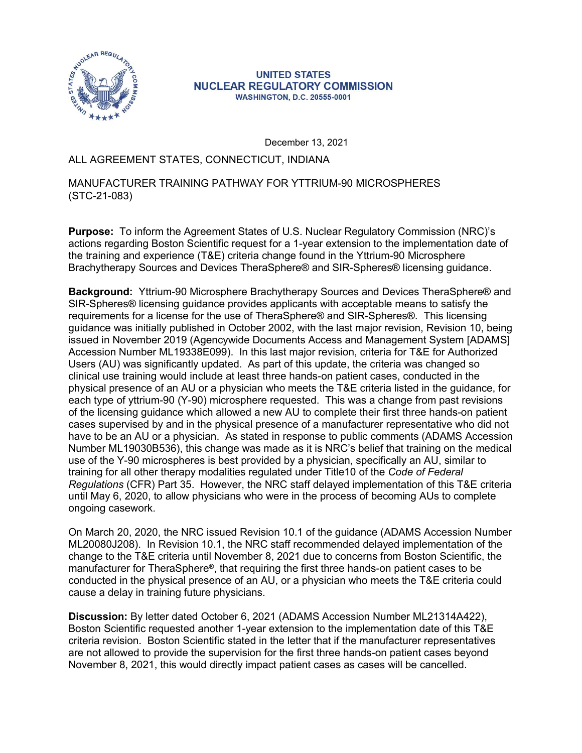

## **UNITED STATES NUCLEAR REGULATORY COMMISSION WASHINGTON, D.C. 20555-0001**

December 13, 2021

## ALL AGREEMENT STATES, CONNECTICUT, INDIANA

MANUFACTURER TRAINING PATHWAY FOR YTTRIUM-90 MICROSPHERES (STC-21-083)

Purpose: To inform the Agreement States of U.S. Nuclear Regulatory Commission (NRC)'s actions regarding Boston Scientific request for a 1-year extension to the implementation date of the training and experience (T&E) criteria change found in the Yttrium-90 Microsphere Brachytherapy Sources and Devices TheraSphere® and SIR-Spheres® licensing guidance.

Background: Yttrium-90 Microsphere Brachytherapy Sources and Devices TheraSphere® and SIR-Spheres® licensing guidance provides applicants with acceptable means to satisfy the requirements for a license for the use of TheraSphere® and SIR-Spheres®. This licensing guidance was initially published in October 2002, with the last major revision, Revision 10, being issued in November 2019 (Agencywide Documents Access and Management System [ADAMS] Accession Number ML19338E099). In this last major revision, criteria for T&E for Authorized Users (AU) was significantly updated. As part of this update, the criteria was changed so clinical use training would include at least three hands-on patient cases, conducted in the physical presence of an AU or a physician who meets the T&E criteria listed in the guidance, for each type of yttrium-90 (Y-90) microsphere requested. This was a change from past revisions of the licensing guidance which allowed a new AU to complete their first three hands-on patient cases supervised by and in the physical presence of a manufacturer representative who did not have to be an AU or a physician. As stated in response to public comments (ADAMS Accession Number ML19030B536), this change was made as it is NRC's belief that training on the medical use of the Y-90 microspheres is best provided by a physician, specifically an AU, similar to training for all other therapy modalities regulated under Title10 of the Code of Federal Regulations (CFR) Part 35. However, the NRC staff delayed implementation of this T&E criteria until May 6, 2020, to allow physicians who were in the process of becoming AUs to complete ongoing casework.

On March 20, 2020, the NRC issued Revision 10.1 of the guidance (ADAMS Accession Number ML20080J208). In Revision 10.1, the NRC staff recommended delayed implementation of the change to the T&E criteria until November 8, 2021 due to concerns from Boston Scientific, the manufacturer for TheraSphere®, that requiring the first three hands-on patient cases to be conducted in the physical presence of an AU, or a physician who meets the T&E criteria could cause a delay in training future physicians.

Discussion: By letter dated October 6, 2021 (ADAMS Accession Number ML21314A422), Boston Scientific requested another 1-year extension to the implementation date of this T&E criteria revision. Boston Scientific stated in the letter that if the manufacturer representatives are not allowed to provide the supervision for the first three hands-on patient cases beyond November 8, 2021, this would directly impact patient cases as cases will be cancelled.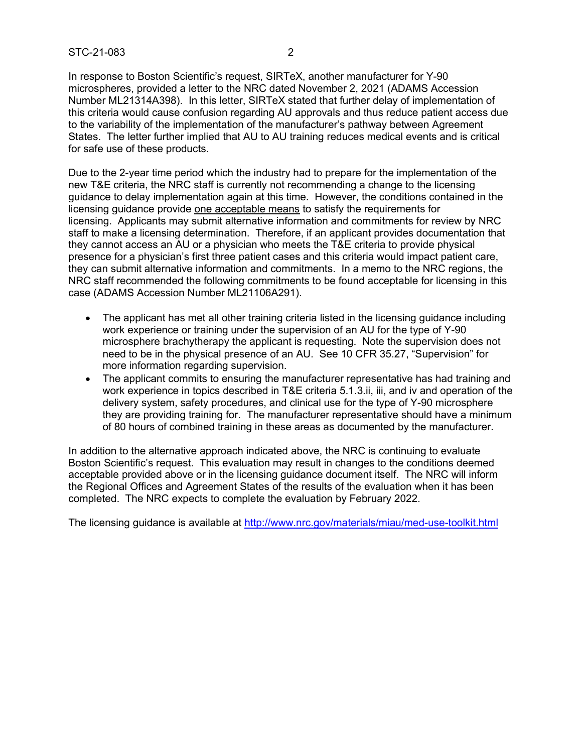STC-21-083<br>
In response to Boston Scientific's request, SIRTeX, another manufacturer for Y-90<br>
microspheres, provided a letter to the NRC dated November 2, 2021 (ADAMS Accession<br>
Number ML21314A398). In this letter, SIRTeX In response to Boston Scientific's request, SIRTeX, another manufacturer for Y-90 microspheres, provided a letter to the NRC dated November 2, 2021 (ADAMS Accession Number ML21314A398). In this letter, SIRTeX stated that further delay of implementation of this criteria would cause confusion regarding AU approvals and thus reduce patient access due to the variability of the implementation of the manufacturer's pathway between Agreement States. The letter further implied that AU to AU training reduces medical events and is critical for safe use of these products.

Due to the 2-year time period which the industry had to prepare for the implementation of the new T&E criteria, the NRC staff is currently not recommending a change to the licensing guidance to delay implementation again at this time. However, the conditions contained in the licensing guidance provide one acceptable means to satisfy the requirements for licensing. Applicants may submit alternative information and commitments for review by NRC staff to make a licensing determination. Therefore, if an applicant provides documentation that they cannot access an AU or a physician who meets the T&E criteria to provide physical presence for a physician's first three patient cases and this criteria would impact patient care, they can submit alternative information and commitments. In a memo to the NRC regions, the NRC staff recommended the following commitments to be found acceptable for licensing in this case (ADAMS Accession Number ML21106A291).

- $\bullet$ The applicant has met all other training criteria listed in the licensing guidance including work experience or training under the supervision of an AU for the type of Y-90 microsphere brachytherapy the applicant is requesting. Note the supervision does not need to be in the physical presence of an AU. See 10 CFR 35.27, "Supervision" for more information regarding supervision.
- The applicant commits to ensuring the manufacturer representative has had training and work experience in topics described in T&E criteria 5.1.3.ii, iii, and iv and operation of the delivery system, safety procedures, and clinical use for the type of Y-90 microsphere they are providing training for. The manufacturer representative should have a minimum of 80 hours of combined training in these areas as documented by the manufacturer.

In addition to the alternative approach indicated above, the NRC is continuing to evaluate Boston Scientific's request. This evaluation may result in changes to the conditions deemed acceptable provided above or in the licensing guidance document itself. The NRC will inform the Regional Offices and Agreement States of the results of the evaluation when it has been completed. The NRC expects to complete the evaluation by February 2022.

The licensing guidance is available at http://www.nrc.gov/materials/miau/med-use-toolkit.html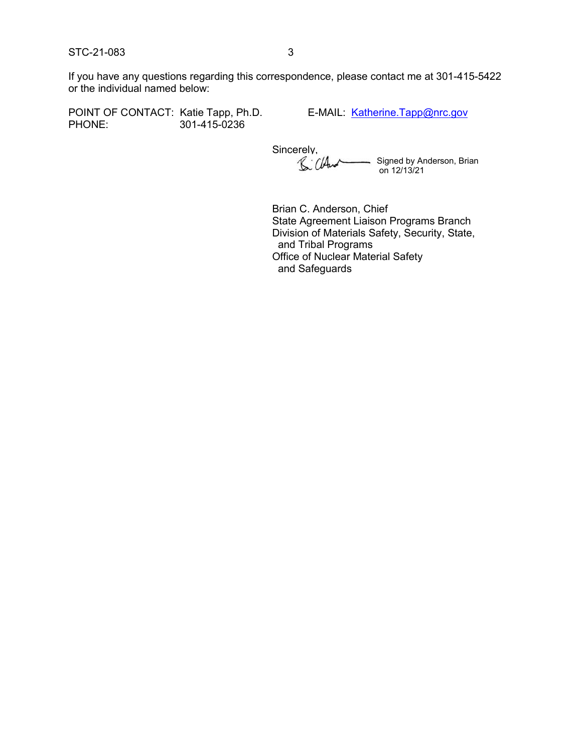STC-21-083<br>
If you have any questions regarding this correspondence, please contact me at 301-415-5422<br>
or the individual named below:<br>
POINT OF CONTACT: Katie Tapp Ph D F-MAIL: Katherine Tapp@nrc.gov If you have any questions regarding this correspondence, please contact me at 301-415-5422 or the individual named below: STC-21-083<br>
If you have any questions regarding this correspondence, please contact me at 301-415-5<br>
or the individual named below:<br>
POINT OF CONTACT: Katie Tapp, Ph.D.<br>
B-MAIL: <u>Katherine Tapp@nrc.gov</u><br>
PHONE:<br>
Sincerely,

POINT OF CONTACT: Katie Tapp, Ph.D. E-MAIL: Katherine.Tapp@nrc.gov

Sincerely, Signed by Anderson, Brian on 12/13/21

Brian C. Anderson, Chief State Agreement Liaison Programs Branch Division of Materials Safety, Security, State, and Tribal Programs Office of Nuclear Material Safety and Safeguards